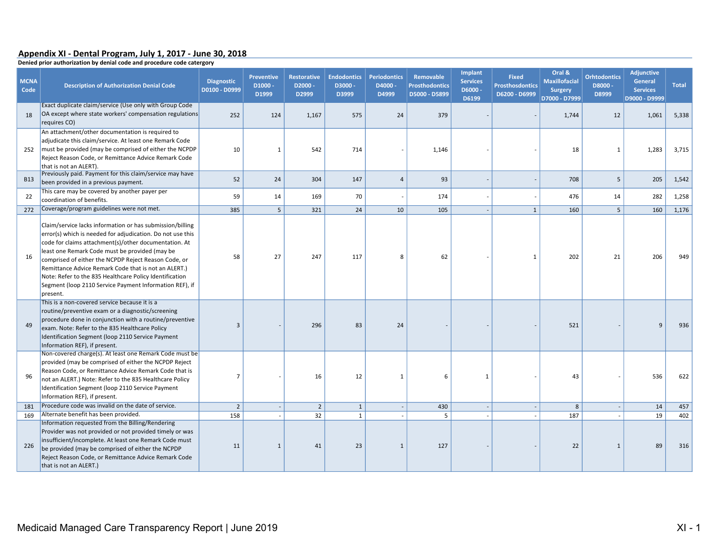## Appendix XI - Dental Program, July 1, 2017 - June 30, 2018

Denied prior authorization by denial code and procedure code catergory

| <b>MCNA</b><br>Code | <b>Description of Authorization Denial Code</b>                                                                                                                                                                                                                                                                                                                                                                                                                                      | <b>Diagnostic</b><br>D0100 - D0999 | <b>Preventive</b><br>$D1000 -$<br>D1999 | <b>Restorative</b><br>D2000-<br>D2999 | <b>Endodontics</b><br>D3000-<br>D3999 | <b>Periodontics</b><br>D4000-<br>D4999 | Removable<br><b>Prosthodontics</b><br>D5000 - D5899 | Implant<br><b>Services</b><br>D6000 -<br>D6199 | <b>Fixed</b><br><b>Prosthosdontics</b><br>D6200 - D6999 | Oral &<br><b>Maxillofacial</b><br><b>Surgery</b><br>D7000 - D7999 | <b>Orhtodontics</b><br>D8000-<br>D8999 | <b>Adjunctive</b><br><b>General</b><br><b>Services</b><br>D9000 - D9999 | <b>Total</b> |
|---------------------|--------------------------------------------------------------------------------------------------------------------------------------------------------------------------------------------------------------------------------------------------------------------------------------------------------------------------------------------------------------------------------------------------------------------------------------------------------------------------------------|------------------------------------|-----------------------------------------|---------------------------------------|---------------------------------------|----------------------------------------|-----------------------------------------------------|------------------------------------------------|---------------------------------------------------------|-------------------------------------------------------------------|----------------------------------------|-------------------------------------------------------------------------|--------------|
| 18                  | Exact duplicate claim/service (Use only with Group Code<br>OA except where state workers' compensation regulations<br>requires CO)                                                                                                                                                                                                                                                                                                                                                   | 252                                | 124                                     | 1,167                                 | 575                                   | 24                                     | 379                                                 |                                                |                                                         | 1,744                                                             | 12                                     | 1,061                                                                   | 5,338        |
| 252                 | An attachment/other documentation is required to<br>adjudicate this claim/service. At least one Remark Code<br>must be provided (may be comprised of either the NCPDP<br>Reject Reason Code, or Remittance Advice Remark Code<br>that is not an ALERT).                                                                                                                                                                                                                              | 10                                 | $\mathbf{1}$                            | 542                                   | 714                                   |                                        | 1,146                                               |                                                |                                                         | 18                                                                | $\mathbf{1}$                           | 1,283                                                                   | 3,715        |
| <b>B13</b>          | Previously paid. Payment for this claim/service may have<br>been provided in a previous payment.                                                                                                                                                                                                                                                                                                                                                                                     | 52                                 | 24                                      | 304                                   | 147                                   | $\overline{a}$                         | 93                                                  |                                                |                                                         | 708                                                               | 5                                      | 205                                                                     | 1,542        |
| 22                  | This care may be covered by another payer per<br>coordination of benefits.                                                                                                                                                                                                                                                                                                                                                                                                           | 59                                 | 14                                      | 169                                   | 70                                    |                                        | 174                                                 |                                                |                                                         | 476                                                               | 14                                     | 282                                                                     | 1,258        |
| 272                 | Coverage/program guidelines were not met.                                                                                                                                                                                                                                                                                                                                                                                                                                            | 385                                | 5 <sup>5</sup>                          | 321                                   | 24                                    | 10                                     | 105                                                 |                                                | $\mathbf{1}$                                            | 160                                                               | $5\overline{5}$                        | 160                                                                     | 1,176        |
| 16                  | Claim/service lacks information or has submission/billing<br>error(s) which is needed for adjudication. Do not use this<br>code for claims attachment(s)/other documentation. At<br>least one Remark Code must be provided (may be<br>comprised of either the NCPDP Reject Reason Code, or<br>Remittance Advice Remark Code that is not an ALERT.)<br>Note: Refer to the 835 Healthcare Policy Identification<br>Segment (loop 2110 Service Payment Information REF), if<br>present. | 58                                 | 27                                      | 247                                   | 117                                   | 8                                      | 62                                                  |                                                | $\mathbf{1}$                                            | 202                                                               | 21                                     | 206                                                                     | 949          |
| 49                  | This is a non-covered service because it is a<br>routine/preventive exam or a diagnostic/screening<br>procedure done in conjunction with a routine/preventive<br>exam. Note: Refer to the 835 Healthcare Policy<br>Identification Segment (loop 2110 Service Payment<br>Information REF), if present.                                                                                                                                                                                | $\overline{3}$                     |                                         | 296                                   | 83                                    | 24                                     |                                                     |                                                |                                                         | 521                                                               |                                        | 9                                                                       | 936          |
| 96                  | Non-covered charge(s). At least one Remark Code must be<br>provided (may be comprised of either the NCPDP Reject<br>Reason Code, or Remittance Advice Remark Code that is<br>not an ALERT.) Note: Refer to the 835 Healthcare Policy<br>Identification Segment (loop 2110 Service Payment<br>Information REF), if present.                                                                                                                                                           | $\overline{7}$                     |                                         | 16                                    | 12                                    | $\mathbf{1}$                           | 6                                                   | $\mathbf{1}$                                   |                                                         | 43                                                                |                                        | 536                                                                     | 622          |
| 181                 | Procedure code was invalid on the date of service.                                                                                                                                                                                                                                                                                                                                                                                                                                   | $\overline{2}$                     |                                         | $\overline{2}$                        | $\mathbf{1}$                          | $\overline{\phantom{a}}$               | 430                                                 |                                                |                                                         | 8                                                                 |                                        | 14                                                                      | 457          |
| 169                 | Alternate benefit has been provided.                                                                                                                                                                                                                                                                                                                                                                                                                                                 | 158                                |                                         | 32                                    | $\mathbf{1}$                          |                                        | 5                                                   |                                                |                                                         | 187                                                               |                                        | 19                                                                      | 402          |
| 226                 | Information requested from the Billing/Rendering<br>Provider was not provided or not provided timely or was<br>insufficient/incomplete. At least one Remark Code must<br>be provided (may be comprised of either the NCPDP<br>Reject Reason Code, or Remittance Advice Remark Code<br>that is not an ALERT.)                                                                                                                                                                         | 11                                 | $\mathbf{1}$                            | 41                                    | 23                                    | $\mathbf{1}$                           | 127                                                 |                                                |                                                         | 22                                                                | $\mathbf{1}$                           | 89                                                                      | 316          |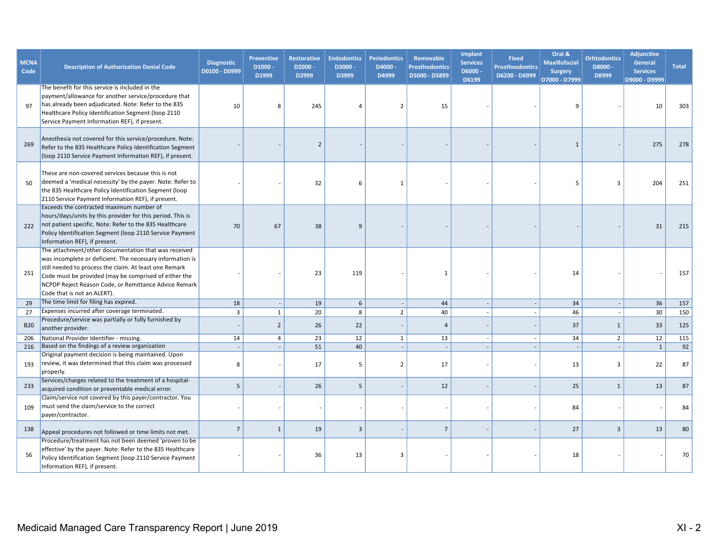| <b>MCNA</b><br>Code | <b>Description of Authorization Denial Code</b>                                                                                                                                                                                                                                                                              | <b>Diagnostic</b><br>D0100 - D0999 | <b>Preventive</b><br>$D1000 -$<br>D1999 | <b>Restorative</b><br>D2000-<br>D2999 | <b>Endodontics</b><br>D3000-<br>D3999 | <b>Periodontics</b><br>D4000-<br>D4999 | Removable<br><b>Prosthodontics</b><br>D5000 - D5899 | <b>Implant</b><br><b>Services</b><br>D6000-<br>D6199 | <b>Fixed</b><br><b>Prosthosdontics</b><br>D6200 - D6999 | Oral &<br><b>Maxillofacial</b><br><b>Surgery</b><br>D7000 - D7999 | <b>Orhtodontics</b><br>D8000-<br>D8999 | <b>Adjunctive</b><br>General<br><b>Services</b><br>D9000 - D9999 | <b>Total</b> |
|---------------------|------------------------------------------------------------------------------------------------------------------------------------------------------------------------------------------------------------------------------------------------------------------------------------------------------------------------------|------------------------------------|-----------------------------------------|---------------------------------------|---------------------------------------|----------------------------------------|-----------------------------------------------------|------------------------------------------------------|---------------------------------------------------------|-------------------------------------------------------------------|----------------------------------------|------------------------------------------------------------------|--------------|
| 97                  | The benefit for this service is included in the<br>payment/allowance for another service/procedure that<br>has already been adjudicated. Note: Refer to the 835<br>Healthcare Policy Identification Segment (loop 2110<br>Service Payment Information REF), if present.                                                      | 10                                 | 8                                       | 245                                   | 4                                     | $\overline{2}$                         | 15                                                  |                                                      |                                                         |                                                                   |                                        | 10                                                               | 303          |
| 269                 | Anesthesia not covered for this service/procedure. Note:<br>Refer to the 835 Healthcare Policy Identification Segment<br>(loop 2110 Service Payment Information REF), if present.                                                                                                                                            |                                    |                                         | $\overline{2}$                        |                                       |                                        |                                                     |                                                      |                                                         | $\mathbf{1}$                                                      |                                        | 275                                                              | 278          |
| 50                  | These are non-covered services because this is not<br>deemed a 'medical necessity' by the payer. Note: Refer to<br>the 835 Healthcare Policy Identification Segment (loop<br>2110 Service Payment Information REF), if present.                                                                                              |                                    |                                         | 32                                    | 6                                     | $\mathbf{1}$                           |                                                     |                                                      |                                                         | -5                                                                | 3                                      | 204                                                              | 251          |
| 222                 | Exceeds the contracted maximum number of<br>hours/days/units by this provider for this period. This is<br>not patient specific. Note: Refer to the 835 Healthcare<br>Policy Identification Segment (loop 2110 Service Payment<br>Information REF), if present.                                                               | 70                                 | 67                                      | 38                                    | 9                                     |                                        |                                                     |                                                      |                                                         |                                                                   |                                        | 31                                                               | 215          |
| 251                 | The attachment/other documentation that was received<br>was incomplete or deficient. The necessary information is<br>still needed to process the claim. At least one Remark<br>Code must be provided (may be comprised of either the<br>NCPDP Reject Reason Code, or Remittance Advice Remark<br>Code that is not an ALERT). |                                    |                                         | 23                                    | 119                                   |                                        | $\mathbf{1}$                                        |                                                      |                                                         | 14                                                                |                                        |                                                                  | 157          |
| 29                  | The time limit for filing has expired.                                                                                                                                                                                                                                                                                       | 18                                 |                                         | 19                                    | 6                                     | $\overline{\phantom{a}}$               | 44                                                  |                                                      |                                                         | 34                                                                | $\overline{\phantom{a}}$               | 36                                                               | 157          |
| 27                  | Expenses incurred after coverage terminated.                                                                                                                                                                                                                                                                                 | $\overline{\mathbf{3}}$            | $\mathbf{1}$                            | 20                                    | 8                                     | $\overline{2}$                         | 40                                                  |                                                      |                                                         | 46                                                                | $\overline{\phantom{a}}$               | 30                                                               | 150          |
| <b>B20</b>          | Procedure/service was partially or fully furnished by<br>another provider.                                                                                                                                                                                                                                                   |                                    | $\overline{2}$                          | 26                                    | 22                                    |                                        | $\overline{4}$                                      |                                                      |                                                         | 37                                                                | 1                                      | 33                                                               | 125          |
| 206                 | National Provider Identifier - missing.                                                                                                                                                                                                                                                                                      | 14                                 | $\overline{4}$                          | 23                                    | 12                                    | $\mathbf{1}$                           | 13                                                  | $\overline{\phantom{a}}$                             |                                                         | 34                                                                | $\overline{2}$                         | 12                                                               | 115          |
| 216                 | Based on the findings of a review organization                                                                                                                                                                                                                                                                               |                                    |                                         | 51                                    | 40                                    | $\sim$                                 |                                                     |                                                      |                                                         |                                                                   |                                        | $\mathbf{1}$                                                     | 92           |
| 193                 | Original payment decision is being maintained. Upon<br>review, it was determined that this claim was processed<br>properly.                                                                                                                                                                                                  | 8                                  |                                         | 17                                    | 5                                     | $\overline{2}$                         | 17                                                  |                                                      |                                                         | 13                                                                | $\mathbf{3}$                           | 22                                                               | 87           |
| 233                 | Services/charges related to the treatment of a hospital-<br>acquired condition or preventable medical error.                                                                                                                                                                                                                 | 5                                  |                                         | 26                                    | 5                                     |                                        | 12                                                  |                                                      |                                                         | 25                                                                | $\mathbf{1}$                           | 13                                                               | 87           |
| 109                 | Claim/service not covered by this payer/contractor. You<br>must send the claim/service to the correct<br>payer/contractor.                                                                                                                                                                                                   |                                    |                                         |                                       |                                       |                                        |                                                     |                                                      |                                                         | 84                                                                |                                        |                                                                  | 84           |
| 138                 | Appeal procedures not followed or time limits not met.                                                                                                                                                                                                                                                                       | $\overline{7}$                     | $\mathbf{1}$                            | 19                                    | 3                                     |                                        | $\overline{7}$                                      |                                                      |                                                         | 27                                                                | $\overline{\mathbf{3}}$                | 13                                                               | 80           |
| 56                  | Procedure/treatment has not been deemed 'proven to be<br>effective' by the payer. Note: Refer to the 835 Healthcare<br>Policy Identification Segment (loop 2110 Service Payment<br>Information REF), if present.                                                                                                             |                                    |                                         | 36                                    | 13                                    | 3                                      |                                                     |                                                      |                                                         | 18                                                                |                                        |                                                                  | 70           |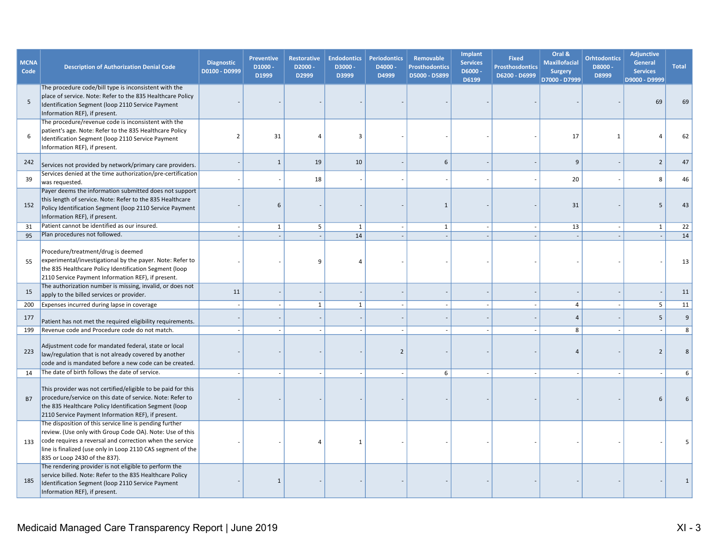| <b>MCNA</b><br>Code | <b>Description of Authorization Denial Code</b>                                                                                                                                                                                                                                 | <b>Diagnostic</b><br>D0100 - D0999 | <b>Preventive</b><br>D1000-<br>D1999 | <b>Restorative</b><br>D2000-<br>D2999 | <b>Endodontics</b><br>D3000-<br>D3999 | <b>Periodontics</b><br>D4000-<br>D4999 | Removable<br><b>Prosthodontics</b><br>D5000 - D5899 | <b>Implant</b><br><b>Services</b><br>D6000-<br>D6199 | <b>Fixed</b><br><b>Prosthosdontics</b><br>D6200 - D6999 | Oral &<br><b>Maxillofacial</b><br><b>Surgery</b><br>D7000 - D7999 | <b>Orhtodontics</b><br>D8000-<br>D8999 | <b>Adjunctive</b><br>General<br><b>Services</b><br>D9000 - D9999 | <b>Total</b> |
|---------------------|---------------------------------------------------------------------------------------------------------------------------------------------------------------------------------------------------------------------------------------------------------------------------------|------------------------------------|--------------------------------------|---------------------------------------|---------------------------------------|----------------------------------------|-----------------------------------------------------|------------------------------------------------------|---------------------------------------------------------|-------------------------------------------------------------------|----------------------------------------|------------------------------------------------------------------|--------------|
| 5                   | The procedure code/bill type is inconsistent with the<br>place of service. Note: Refer to the 835 Healthcare Policy<br>Identification Segment (loop 2110 Service Payment<br>Information REF), if present.                                                                       |                                    |                                      |                                       |                                       |                                        |                                                     |                                                      |                                                         |                                                                   |                                        | 69                                                               | 69           |
| 6                   | The procedure/revenue code is inconsistent with the<br>patient's age. Note: Refer to the 835 Healthcare Policy<br>Identification Segment (loop 2110 Service Payment<br>Information REF), if present.                                                                            | $\overline{2}$                     | 31                                   | 4                                     | 3                                     |                                        |                                                     |                                                      |                                                         | 17                                                                | $\mathbf{1}$                           | 4                                                                | 62           |
| 242                 | Services not provided by network/primary care providers.                                                                                                                                                                                                                        |                                    | $\mathbf{1}$                         | 19                                    | 10                                    |                                        | 6                                                   |                                                      |                                                         | $\mathbf{q}$                                                      |                                        | $\overline{2}$                                                   | 47           |
| 39                  | Services denied at the time authorization/pre-certification<br>was requested.                                                                                                                                                                                                   |                                    |                                      | 18                                    |                                       |                                        |                                                     |                                                      |                                                         | 20                                                                |                                        | 8                                                                | 46           |
| 152                 | Payer deems the information submitted does not support<br>this length of service. Note: Refer to the 835 Healthcare<br>Policy Identification Segment (loop 2110 Service Payment<br>Information REF), if present.                                                                |                                    | 6                                    |                                       |                                       |                                        | $\mathbf{1}$                                        |                                                      |                                                         | 31                                                                |                                        | 5                                                                | 43           |
| 31                  | Patient cannot be identified as our insured.                                                                                                                                                                                                                                    | $\sim$                             | $\mathbf{1}$                         | 5                                     | $\mathbf{1}$                          | $\sim$                                 | 1                                                   |                                                      |                                                         | 13                                                                | $\overline{\phantom{a}}$               | $\mathbf{1}$                                                     | 22           |
| 95                  | Plan procedures not followed.                                                                                                                                                                                                                                                   |                                    |                                      |                                       | 14                                    | ÷.                                     |                                                     |                                                      |                                                         |                                                                   |                                        |                                                                  | 14           |
| 55                  | Procedure/treatment/drug is deemed<br>experimental/investigational by the payer. Note: Refer to<br>the 835 Healthcare Policy Identification Segment (loop<br>2110 Service Payment Information REF), if present.                                                                 |                                    |                                      | 9                                     | 4                                     |                                        |                                                     |                                                      |                                                         |                                                                   |                                        |                                                                  | 13           |
| 15                  | The authorization number is missing, invalid, or does not<br>apply to the billed services or provider.                                                                                                                                                                          | 11                                 |                                      |                                       |                                       |                                        |                                                     |                                                      |                                                         |                                                                   |                                        |                                                                  | 11           |
| 200                 | Expenses incurred during lapse in coverage                                                                                                                                                                                                                                      | $\sim$                             |                                      | 1                                     | $\mathbf{1}$                          | $\sim$                                 |                                                     | $\blacksquare$                                       |                                                         | $\overline{4}$                                                    | $\overline{\phantom{a}}$               | 5                                                                | 11           |
| 177                 | Patient has not met the required eligibility requirements.                                                                                                                                                                                                                      |                                    |                                      |                                       |                                       |                                        |                                                     |                                                      |                                                         | $\overline{4}$                                                    |                                        | 5                                                                | 9            |
| 199                 | Revenue code and Procedure code do not match.                                                                                                                                                                                                                                   |                                    |                                      |                                       |                                       |                                        |                                                     |                                                      |                                                         | 8                                                                 |                                        |                                                                  | 8            |
| 223                 | Adjustment code for mandated federal, state or local<br>law/regulation that is not already covered by another<br>code and is mandated before a new code can be created.                                                                                                         |                                    |                                      |                                       |                                       | $\overline{2}$                         |                                                     |                                                      |                                                         |                                                                   |                                        | $\overline{2}$                                                   | 8            |
| 14                  | The date of birth follows the date of service.                                                                                                                                                                                                                                  |                                    |                                      |                                       |                                       |                                        | 6                                                   |                                                      |                                                         |                                                                   |                                        |                                                                  | 6            |
| <b>B7</b>           | This provider was not certified/eligible to be paid for this<br>procedure/service on this date of service. Note: Refer to<br>the 835 Healthcare Policy Identification Segment (loop<br>2110 Service Payment Information REF), if present.                                       |                                    |                                      |                                       |                                       |                                        |                                                     |                                                      |                                                         |                                                                   |                                        | $\mathsf{f}$                                                     | 6            |
| 133                 | The disposition of this service line is pending further<br>review. (Use only with Group Code OA). Note: Use of this<br>code requires a reversal and correction when the service<br>line is finalized (use only in Loop 2110 CAS segment of the<br>835 or Loop 2430 of the 837). |                                    |                                      | 4                                     | 1                                     |                                        |                                                     |                                                      |                                                         |                                                                   |                                        |                                                                  |              |
| 185                 | The rendering provider is not eligible to perform the<br>service billed. Note: Refer to the 835 Healthcare Policy<br>Identification Segment (loop 2110 Service Payment<br>Information REF), if present.                                                                         |                                    | 1                                    |                                       |                                       |                                        |                                                     |                                                      |                                                         |                                                                   |                                        |                                                                  |              |